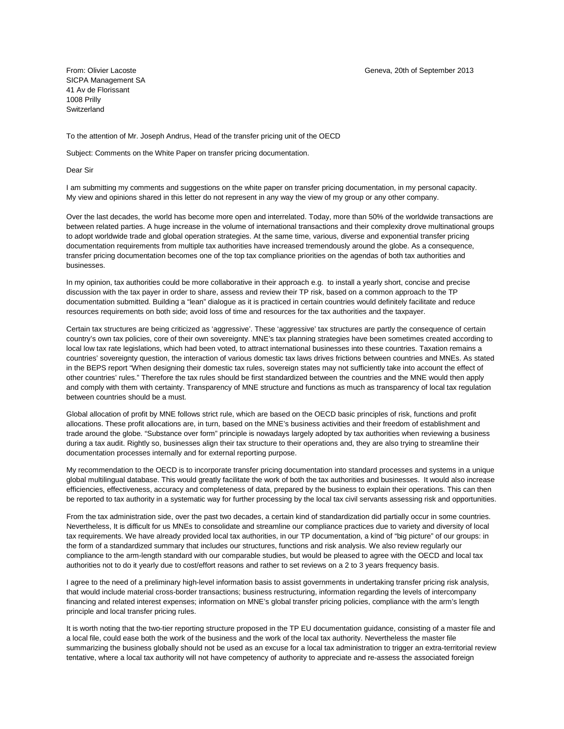SICPA Management SA 41 Av de Florissant 1008 Prilly **Switzerland** 

To the attention of Mr. Joseph Andrus, Head of the transfer pricing unit of the OECD

Subject: Comments on the White Paper on transfer pricing documentation.

Dear Sir

I am submitting my comments and suggestions on the white paper on transfer pricing documentation, in my personal capacity. My view and opinions shared in this letter do not represent in any way the view of my group or any other company.

Over the last decades, the world has become more open and interrelated. Today, more than 50% of the worldwide transactions are between related parties. A huge increase in the volume of international transactions and their complexity drove multinational groups to adopt worldwide trade and global operation strategies. At the same time, various, diverse and exponential transfer pricing documentation requirements from multiple tax authorities have increased tremendously around the globe. As a consequence, transfer pricing documentation becomes one of the top tax compliance priorities on the agendas of both tax authorities and businesses.

In my opinion, tax authorities could be more collaborative in their approach e.g. to install a yearly short, concise and precise discussion with the tax payer in order to share, assess and review their TP risk, based on a common approach to the TP documentation submitted. Building a "lean" dialogue as it is practiced in certain countries would definitely facilitate and reduce resources requirements on both side; avoid loss of time and resources for the tax authorities and the taxpayer.

Certain tax structures are being criticized as 'aggressive'. These 'aggressive' tax structures are partly the consequence of certain country's own tax policies, core of their own sovereignty. MNE's tax planning strategies have been sometimes created according to local low tax rate legislations, which had been voted, to attract international businesses into these countries. Taxation remains a countries' sovereignty question, the interaction of various domestic tax laws drives frictions between countries and MNEs. As stated in the BEPS report "When designing their domestic tax rules, sovereign states may not sufficiently take into account the effect of other countries' rules." Therefore the tax rules should be first standardized between the countries and the MNE would then apply and comply with them with certainty. Transparency of MNE structure and functions as much as transparency of local tax regulation between countries should be a must.

Global allocation of profit by MNE follows strict rule, which are based on the OECD basic principles of risk, functions and profit allocations. These profit allocations are, in turn, based on the MNE's business activities and their freedom of establishment and trade around the globe. "Substance over form" principle is nowadays largely adopted by tax authorities when reviewing a business during a tax audit. Rightly so, businesses align their tax structure to their operations and, they are also trying to streamline their documentation processes internally and for external reporting purpose.

My recommendation to the OECD is to incorporate transfer pricing documentation into standard processes and systems in a unique global multilingual database. This would greatly facilitate the work of both the tax authorities and businesses. It would also increase efficiencies, effectiveness, accuracy and completeness of data, prepared by the business to explain their operations. This can then be reported to tax authority in a systematic way for further processing by the local tax civil servants assessing risk and opportunities.

From the tax administration side, over the past two decades, a certain kind of standardization did partially occur in some countries. Nevertheless, It is difficult for us MNEs to consolidate and streamline our compliance practices due to variety and diversity of local tax requirements. We have already provided local tax authorities, in our TP documentation, a kind of "big picture" of our groups: in the form of a standardized summary that includes our structures, functions and risk analysis. We also review regularly our compliance to the arm-length standard with our comparable studies, but would be pleased to agree with the OECD and local tax authorities not to do it yearly due to cost/effort reasons and rather to set reviews on a 2 to 3 years frequency basis.

I agree to the need of a preliminary high-level information basis to assist governments in undertaking transfer pricing risk analysis, that would include material cross-border transactions; business restructuring, information regarding the levels of intercompany financing and related interest expenses; information on MNE's global transfer pricing policies, compliance with the arm's length principle and local transfer pricing rules.

It is worth noting that the two-tier reporting structure proposed in the TP EU documentation guidance, consisting of a master file and a local file, could ease both the work of the business and the work of the local tax authority. Nevertheless the master file summarizing the business globally should not be used as an excuse for a local tax administration to trigger an extra-territorial review tentative, where a local tax authority will not have competency of authority to appreciate and re-assess the associated foreign